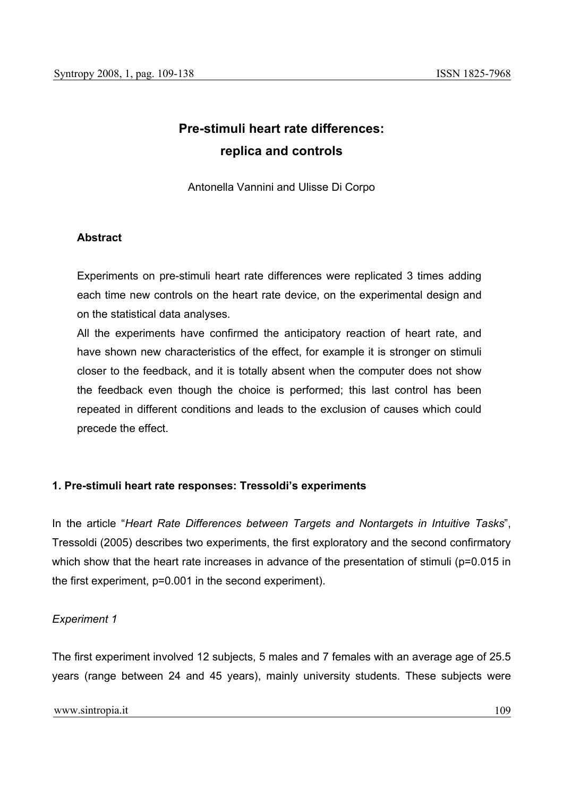# **Pre-stimuli heart rate differences: replica and controls**

Antonella Vannini and Ulisse Di Corpo

## **Abstract**

Experiments on pre-stimuli heart rate differences were replicated 3 times adding each time new controls on the heart rate device, on the experimental design and on the statistical data analyses.

All the experiments have confirmed the anticipatory reaction of heart rate, and have shown new characteristics of the effect, for example it is stronger on stimuli closer to the feedback, and it is totally absent when the computer does not show the feedback even though the choice is performed; this last control has been repeated in different conditions and leads to the exclusion of causes which could precede the effect.

# **1. Pre-stimuli heart rate responses: Tressoldi's experiments**

In the article "*Heart Rate Differences between Targets and Nontargets in Intuitive Tasks*", Tressoldi (2005) describes two experiments, the first exploratory and the second confirmatory which show that the heart rate increases in advance of the presentation of stimuli (p=0.015 in the first experiment, p=0.001 in the second experiment).

## *Experiment 1*

The first experiment involved 12 subjects, 5 males and 7 females with an average age of 25.5 years (range between 24 and 45 years), mainly university students. These subjects were

www.sintropia.it 109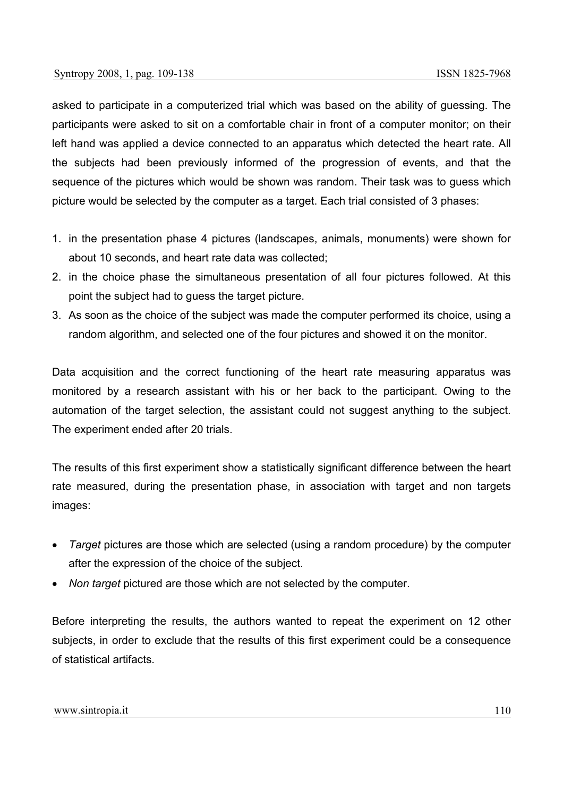asked to participate in a computerized trial which was based on the ability of guessing. The participants were asked to sit on a comfortable chair in front of a computer monitor; on their left hand was applied a device connected to an apparatus which detected the heart rate. All the subjects had been previously informed of the progression of events, and that the sequence of the pictures which would be shown was random. Their task was to guess which picture would be selected by the computer as a target. Each trial consisted of 3 phases:

- 1. in the presentation phase 4 pictures (landscapes, animals, monuments) were shown for about 10 seconds, and heart rate data was collected;
- 2. in the choice phase the simultaneous presentation of all four pictures followed. At this point the subject had to guess the target picture.
- 3. As soon as the choice of the subject was made the computer performed its choice, using a random algorithm, and selected one of the four pictures and showed it on the monitor.

Data acquisition and the correct functioning of the heart rate measuring apparatus was monitored by a research assistant with his or her back to the participant. Owing to the automation of the target selection, the assistant could not suggest anything to the subject. The experiment ended after 20 trials.

The results of this first experiment show a statistically significant difference between the heart rate measured, during the presentation phase, in association with target and non targets images:

- *Target* pictures are those which are selected (using a random procedure) by the computer after the expression of the choice of the subject.
- *Non target* pictured are those which are not selected by the computer.

Before interpreting the results, the authors wanted to repeat the experiment on 12 other subjects, in order to exclude that the results of this first experiment could be a consequence of statistical artifacts.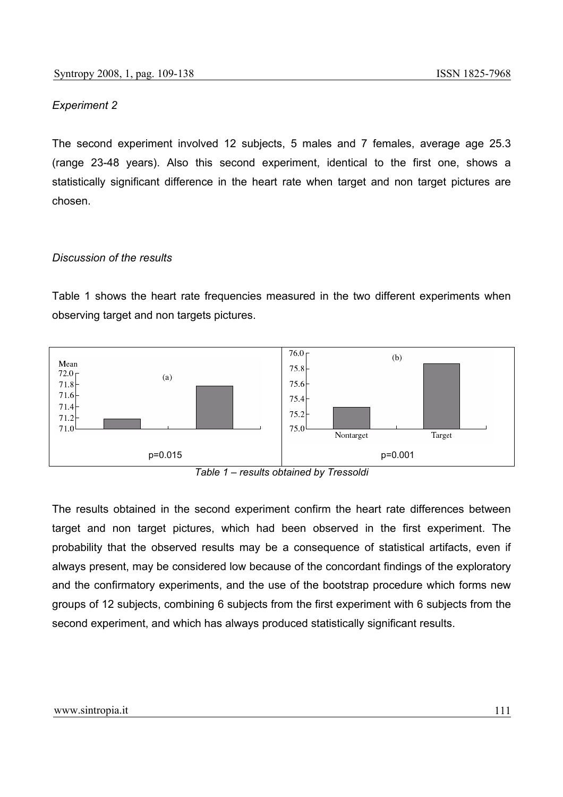#### *Experiment 2*

The second experiment involved 12 subjects, 5 males and 7 females, average age 25.3 (range 23-48 years). Also this second experiment, identical to the first one, shows a statistically significant difference in the heart rate when target and non target pictures are chosen.

#### *Discussion of the results*

Table 1 shows the heart rate frequencies measured in the two different experiments when observing target and non targets pictures.



*Table 1 – results obtained by Tressoldi* 

The results obtained in the second experiment confirm the heart rate differences between target and non target pictures, which had been observed in the first experiment. The probability that the observed results may be a consequence of statistical artifacts, even if always present, may be considered low because of the concordant findings of the exploratory and the confirmatory experiments, and the use of the bootstrap procedure which forms new groups of 12 subjects, combining 6 subjects from the first experiment with 6 subjects from the second experiment, and which has always produced statistically significant results.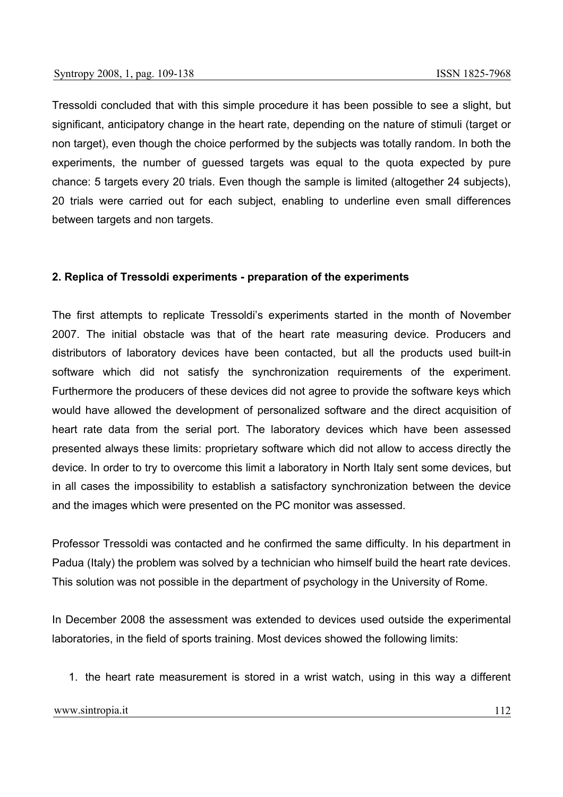Tressoldi concluded that with this simple procedure it has been possible to see a slight, but significant, anticipatory change in the heart rate, depending on the nature of stimuli (target or non target), even though the choice performed by the subjects was totally random. In both the experiments, the number of guessed targets was equal to the quota expected by pure chance: 5 targets every 20 trials. Even though the sample is limited (altogether 24 subjects), 20 trials were carried out for each subject, enabling to underline even small differences between targets and non targets.

#### **2. Replica of Tressoldi experiments - preparation of the experiments**

The first attempts to replicate Tressoldi's experiments started in the month of November 2007. The initial obstacle was that of the heart rate measuring device. Producers and distributors of laboratory devices have been contacted, but all the products used built-in software which did not satisfy the synchronization requirements of the experiment. Furthermore the producers of these devices did not agree to provide the software keys which would have allowed the development of personalized software and the direct acquisition of heart rate data from the serial port. The laboratory devices which have been assessed presented always these limits: proprietary software which did not allow to access directly the device. In order to try to overcome this limit a laboratory in North Italy sent some devices, but in all cases the impossibility to establish a satisfactory synchronization between the device and the images which were presented on the PC monitor was assessed.

Professor Tressoldi was contacted and he confirmed the same difficulty. In his department in Padua (Italy) the problem was solved by a technician who himself build the heart rate devices. This solution was not possible in the department of psychology in the University of Rome.

In December 2008 the assessment was extended to devices used outside the experimental laboratories, in the field of sports training. Most devices showed the following limits:

1. the heart rate measurement is stored in a wrist watch, using in this way a different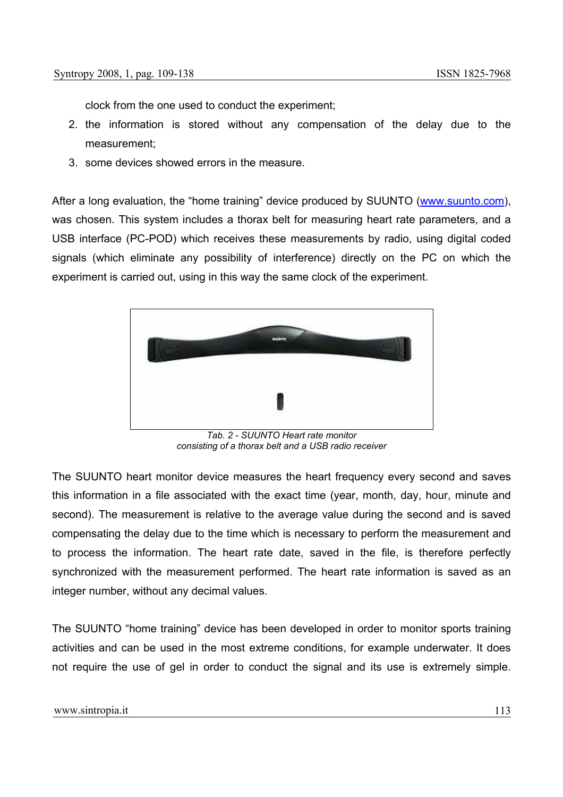clock from the one used to conduct the experiment;

- 2. the information is stored without any compensation of the delay due to the measurement;
- 3. some devices showed errors in the measure.

After a long evaluation, the "home training" device produced by SUUNTO (www.suunto.com), was chosen. This system includes a thorax belt for measuring heart rate parameters, and a USB interface (PC-POD) which receives these measurements by radio, using digital coded signals (which eliminate any possibility of interference) directly on the PC on which the experiment is carried out, using in this way the same clock of the experiment.



*Tab. 2 - SUUNTO Heart rate monitor consisting of a thorax belt and a USB radio receiver* 

The SUUNTO heart monitor device measures the heart frequency every second and saves this information in a file associated with the exact time (year, month, day, hour, minute and second). The measurement is relative to the average value during the second and is saved compensating the delay due to the time which is necessary to perform the measurement and to process the information. The heart rate date, saved in the file, is therefore perfectly synchronized with the measurement performed. The heart rate information is saved as an integer number, without any decimal values.

The SUUNTO "home training" device has been developed in order to monitor sports training activities and can be used in the most extreme conditions, for example underwater. It does not require the use of gel in order to conduct the signal and its use is extremely simple.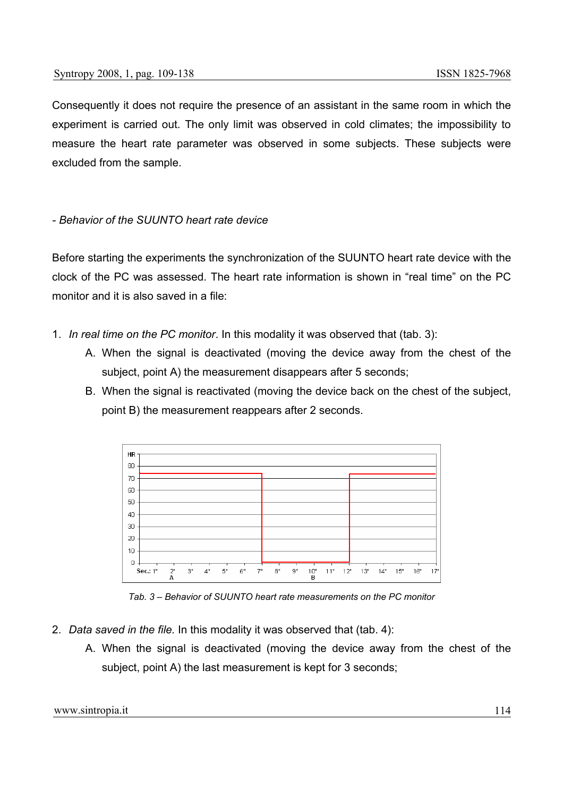Consequently it does not require the presence of an assistant in the same room in which the experiment is carried out. The only limit was observed in cold climates; the impossibility to measure the heart rate parameter was observed in some subjects. These subjects were excluded from the sample.

## *- Behavior of the SUUNTO heart rate device*

Before starting the experiments the synchronization of the SUUNTO heart rate device with the clock of the PC was assessed. The heart rate information is shown in "real time" on the PC monitor and it is also saved in a file:

- 1. *In real time on the PC monitor*. In this modality it was observed that (tab. 3):
	- A. When the signal is deactivated (moving the device away from the chest of the subject, point A) the measurement disappears after 5 seconds;
	- B. When the signal is reactivated (moving the device back on the chest of the subject, point B) the measurement reappears after 2 seconds.



*Tab. 3 – Behavior of SUUNTO heart rate measurements on the PC monitor* 

- 2. *Data saved in the file.* In this modality it was observed that (tab. 4):
	- A. When the signal is deactivated (moving the device away from the chest of the subject, point A) the last measurement is kept for 3 seconds;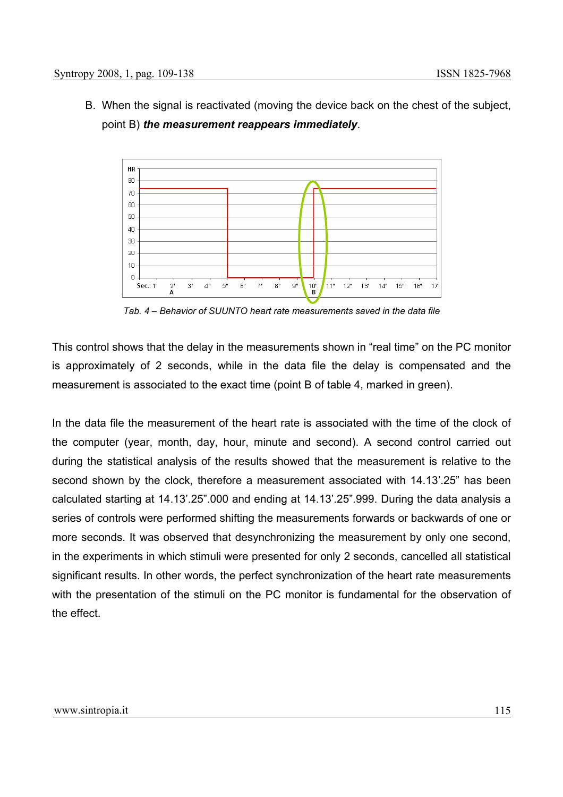B. When the signal is reactivated (moving the device back on the chest of the subject, point B) *the measurement reappears immediately*.



*Tab. 4 – Behavior of SUUNTO heart rate measurements saved in the data file* 

This control shows that the delay in the measurements shown in "real time" on the PC monitor is approximately of 2 seconds, while in the data file the delay is compensated and the measurement is associated to the exact time (point B of table 4, marked in green).

In the data file the measurement of the heart rate is associated with the time of the clock of the computer (year, month, day, hour, minute and second). A second control carried out during the statistical analysis of the results showed that the measurement is relative to the second shown by the clock, therefore a measurement associated with 14.13'.25" has been calculated starting at 14.13'.25".000 and ending at 14.13'.25".999. During the data analysis a series of controls were performed shifting the measurements forwards or backwards of one or more seconds. It was observed that desynchronizing the measurement by only one second, in the experiments in which stimuli were presented for only 2 seconds, cancelled all statistical significant results. In other words, the perfect synchronization of the heart rate measurements with the presentation of the stimuli on the PC monitor is fundamental for the observation of the effect.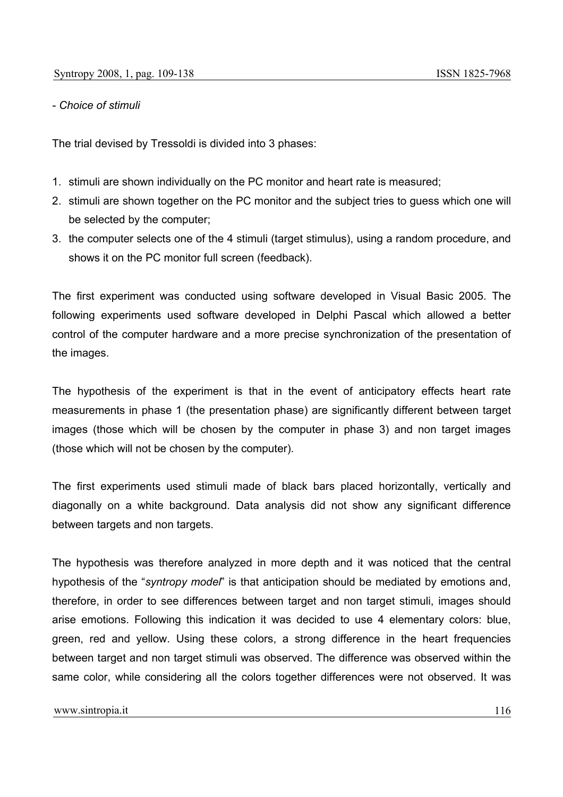#### *- Choice of stimuli*

The trial devised by Tressoldi is divided into 3 phases:

- 1. stimuli are shown individually on the PC monitor and heart rate is measured;
- 2. stimuli are shown together on the PC monitor and the subject tries to guess which one will be selected by the computer;
- 3. the computer selects one of the 4 stimuli (target stimulus), using a random procedure, and shows it on the PC monitor full screen (feedback).

The first experiment was conducted using software developed in Visual Basic 2005. The following experiments used software developed in Delphi Pascal which allowed a better control of the computer hardware and a more precise synchronization of the presentation of the images.

The hypothesis of the experiment is that in the event of anticipatory effects heart rate measurements in phase 1 (the presentation phase) are significantly different between target images (those which will be chosen by the computer in phase 3) and non target images (those which will not be chosen by the computer).

The first experiments used stimuli made of black bars placed horizontally, vertically and diagonally on a white background. Data analysis did not show any significant difference between targets and non targets.

The hypothesis was therefore analyzed in more depth and it was noticed that the central hypothesis of the "*syntropy model*" is that anticipation should be mediated by emotions and, therefore, in order to see differences between target and non target stimuli, images should arise emotions. Following this indication it was decided to use 4 elementary colors: blue, green, red and yellow. Using these colors, a strong difference in the heart frequencies between target and non target stimuli was observed. The difference was observed within the same color, while considering all the colors together differences were not observed. It was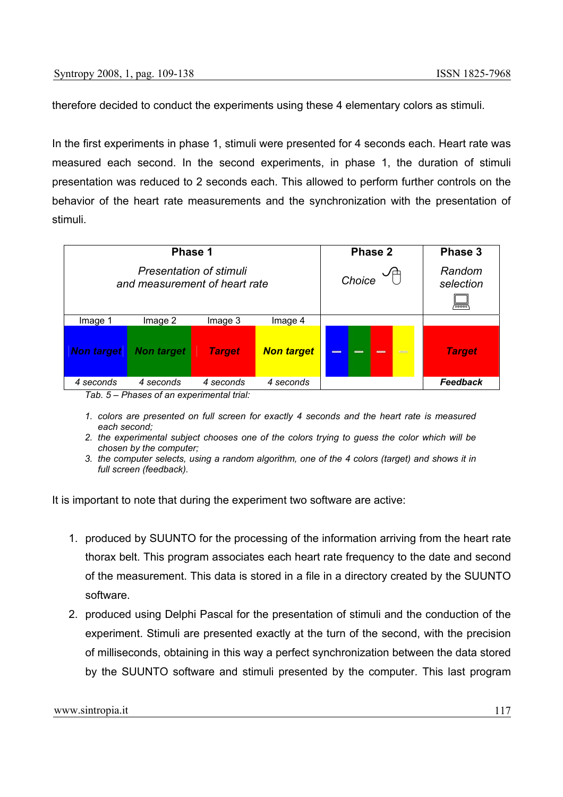therefore decided to conduct the experiments using these 4 elementary colors as stimuli.

In the first experiments in phase 1, stimuli were presented for 4 seconds each. Heart rate was measured each second. In the second experiments, in phase 1, the duration of stimuli presentation was reduced to 2 seconds each. This allowed to perform further controls on the behavior of the heart rate measurements and the synchronization with the presentation of stimuli.

|                                                                 | Phase 1                                       |               | Phase 2           | Phase 3                              |                          |
|-----------------------------------------------------------------|-----------------------------------------------|---------------|-------------------|--------------------------------------|--------------------------|
| <b>Presentation of stimuli</b><br>and measurement of heart rate |                                               |               |                   | Choice                               | Random<br>selection<br>ᆓ |
| Image 1                                                         | Image 2                                       | Image 3       | Image 4           |                                      |                          |
| <b>Non target</b>                                               | <b>Non target</b>                             | <b>Target</b> | <b>Non target</b> | $\frac{1}{2}$<br>$\equiv$<br>--<br>- | <b>Target</b>            |
| 4 seconds<br>$T_0 h$ $F$                                        | 4 seconds<br>Dhosos of an ovnorimantal trial. | 4 seconds     | 4 seconds         |                                      | Feedback                 |

*Tab. 5 – Phases of an experimental trial:* 

- *1. colors are presented on full screen for exactly 4 seconds and the heart rate is measured each second;*
- *2. the experimental subject chooses one of the colors trying to guess the color which will be chosen by the computer;*
- *3. the computer selects, using a random algorithm, one of the 4 colors (target) and shows it in full screen (feedback).*

It is important to note that during the experiment two software are active:

- 1. produced by SUUNTO for the processing of the information arriving from the heart rate thorax belt. This program associates each heart rate frequency to the date and second of the measurement. This data is stored in a file in a directory created by the SUUNTO software.
- 2. produced using Delphi Pascal for the presentation of stimuli and the conduction of the experiment. Stimuli are presented exactly at the turn of the second, with the precision of milliseconds, obtaining in this way a perfect synchronization between the data stored by the SUUNTO software and stimuli presented by the computer. This last program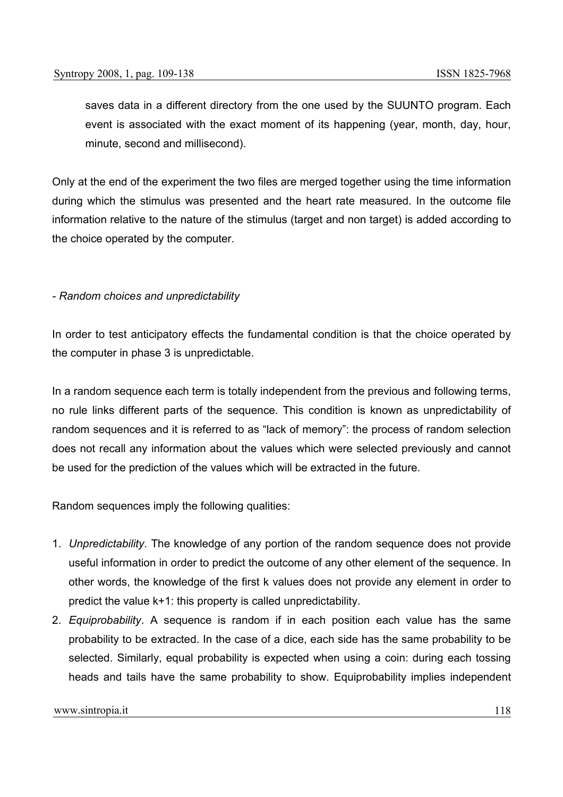saves data in a different directory from the one used by the SUUNTO program. Each event is associated with the exact moment of its happening (year, month, day, hour, minute, second and millisecond).

Only at the end of the experiment the two files are merged together using the time information during which the stimulus was presented and the heart rate measured. In the outcome file information relative to the nature of the stimulus (target and non target) is added according to the choice operated by the computer.

#### *- Random choices and unpredictability*

In order to test anticipatory effects the fundamental condition is that the choice operated by the computer in phase 3 is unpredictable.

In a random sequence each term is totally independent from the previous and following terms, no rule links different parts of the sequence. This condition is known as unpredictability of random sequences and it is referred to as "lack of memory": the process of random selection does not recall any information about the values which were selected previously and cannot be used for the prediction of the values which will be extracted in the future.

Random sequences imply the following qualities:

- 1. *Unpredictability*. The knowledge of any portion of the random sequence does not provide useful information in order to predict the outcome of any other element of the sequence. In other words, the knowledge of the first k values does not provide any element in order to predict the value k+1: this property is called unpredictability.
- 2. *Equiprobability*. A sequence is random if in each position each value has the same probability to be extracted. In the case of a dice, each side has the same probability to be selected. Similarly, equal probability is expected when using a coin: during each tossing heads and tails have the same probability to show. Equiprobability implies independent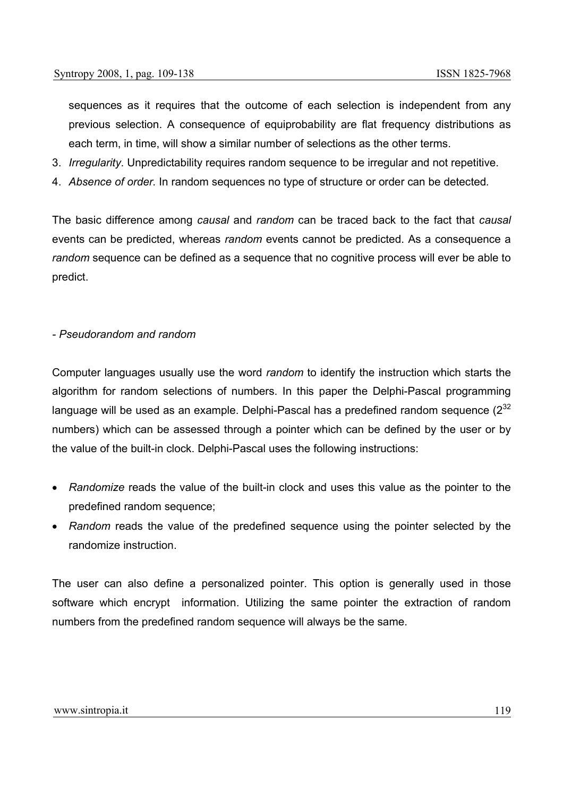sequences as it requires that the outcome of each selection is independent from any previous selection. A consequence of equiprobability are flat frequency distributions as each term, in time, will show a similar number of selections as the other terms.

- 3. *Irregularity*. Unpredictability requires random sequence to be irregular and not repetitive.
- 4. *Absence of order.* In random sequences no type of structure or order can be detected*.*

The basic difference among *causal* and *random* can be traced back to the fact that *causal* events can be predicted, whereas *random* events cannot be predicted. As a consequence a *random* sequence can be defined as a sequence that no cognitive process will ever be able to predict.

#### *- Pseudorandom and random*

Computer languages usually use the word *random* to identify the instruction which starts the algorithm for random selections of numbers. In this paper the Delphi-Pascal programming language will be used as an example. Delphi-Pascal has a predefined random sequence  $(2^{32}$ numbers) which can be assessed through a pointer which can be defined by the user or by the value of the built-in clock. Delphi-Pascal uses the following instructions:

- *Randomize* reads the value of the built-in clock and uses this value as the pointer to the predefined random sequence;
- *Random* reads the value of the predefined sequence using the pointer selected by the randomize instruction.

The user can also define a personalized pointer. This option is generally used in those software which encrypt information. Utilizing the same pointer the extraction of random numbers from the predefined random sequence will always be the same.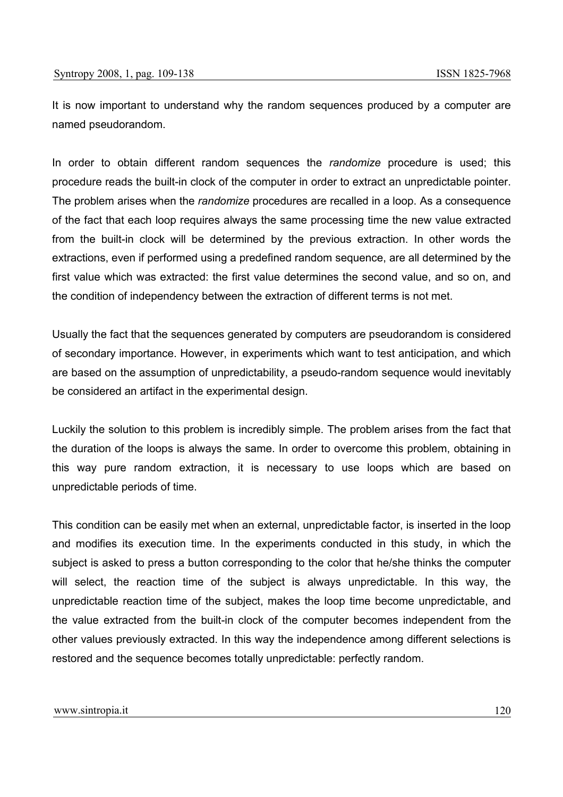It is now important to understand why the random sequences produced by a computer are named pseudorandom.

In order to obtain different random sequences the *randomize* procedure is used; this procedure reads the built-in clock of the computer in order to extract an unpredictable pointer. The problem arises when the *randomize* procedures are recalled in a loop. As a consequence of the fact that each loop requires always the same processing time the new value extracted from the built-in clock will be determined by the previous extraction. In other words the extractions, even if performed using a predefined random sequence, are all determined by the first value which was extracted: the first value determines the second value, and so on, and the condition of independency between the extraction of different terms is not met.

Usually the fact that the sequences generated by computers are pseudorandom is considered of secondary importance. However, in experiments which want to test anticipation, and which are based on the assumption of unpredictability, a pseudo-random sequence would inevitably be considered an artifact in the experimental design.

Luckily the solution to this problem is incredibly simple. The problem arises from the fact that the duration of the loops is always the same. In order to overcome this problem, obtaining in this way pure random extraction, it is necessary to use loops which are based on unpredictable periods of time.

This condition can be easily met when an external, unpredictable factor, is inserted in the loop and modifies its execution time. In the experiments conducted in this study, in which the subject is asked to press a button corresponding to the color that he/she thinks the computer will select, the reaction time of the subject is always unpredictable. In this way, the unpredictable reaction time of the subject, makes the loop time become unpredictable, and the value extracted from the built-in clock of the computer becomes independent from the other values previously extracted. In this way the independence among different selections is restored and the sequence becomes totally unpredictable: perfectly random.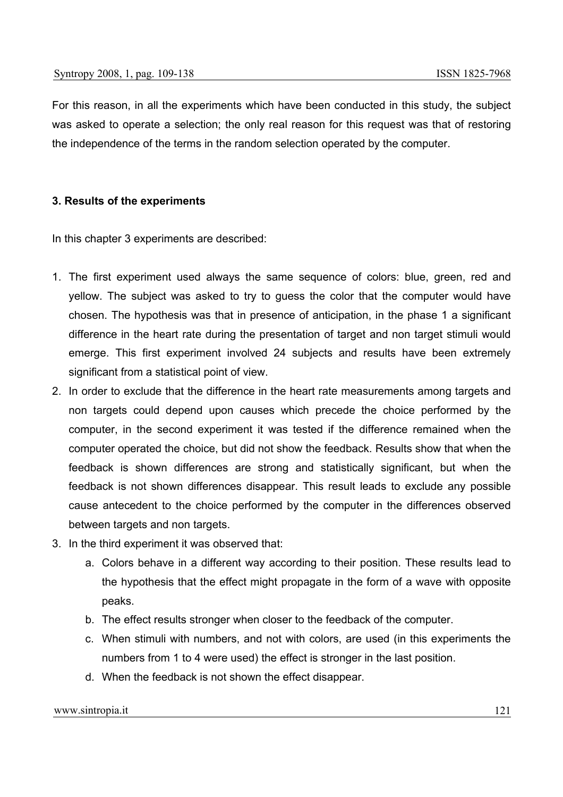For this reason, in all the experiments which have been conducted in this study, the subject was asked to operate a selection; the only real reason for this request was that of restoring the independence of the terms in the random selection operated by the computer.

## **3. Results of the experiments**

In this chapter 3 experiments are described:

- 1. The first experiment used always the same sequence of colors: blue, green, red and yellow. The subject was asked to try to guess the color that the computer would have chosen. The hypothesis was that in presence of anticipation, in the phase 1 a significant difference in the heart rate during the presentation of target and non target stimuli would emerge. This first experiment involved 24 subjects and results have been extremely significant from a statistical point of view.
- 2. In order to exclude that the difference in the heart rate measurements among targets and non targets could depend upon causes which precede the choice performed by the computer, in the second experiment it was tested if the difference remained when the computer operated the choice, but did not show the feedback. Results show that when the feedback is shown differences are strong and statistically significant, but when the feedback is not shown differences disappear. This result leads to exclude any possible cause antecedent to the choice performed by the computer in the differences observed between targets and non targets.
- 3. In the third experiment it was observed that:
	- a. Colors behave in a different way according to their position. These results lead to the hypothesis that the effect might propagate in the form of a wave with opposite peaks.
	- b. The effect results stronger when closer to the feedback of the computer.
	- c. When stimuli with numbers, and not with colors, are used (in this experiments the numbers from 1 to 4 were used) the effect is stronger in the last position.
	- d. When the feedback is not shown the effect disappear.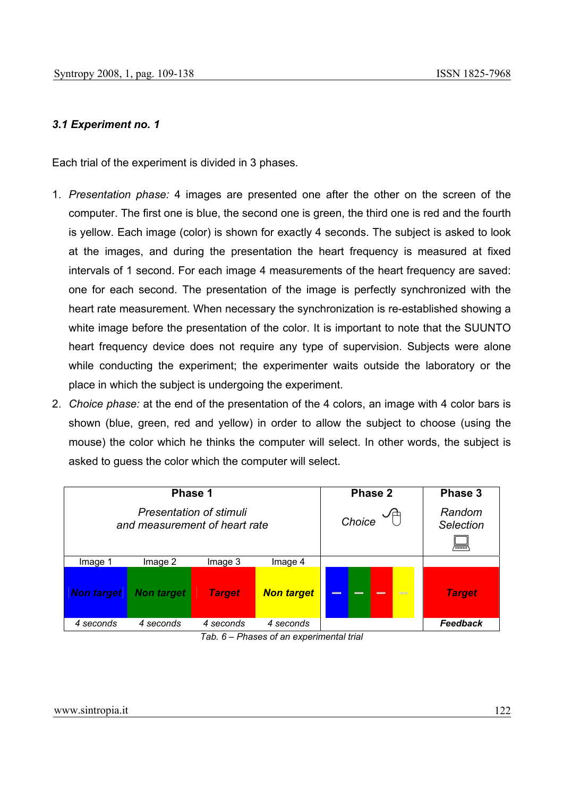# *3.1 Experiment no. 1*

Each trial of the experiment is divided in 3 phases.

- 1. *Presentation phase:* 4 images are presented one after the other on the screen of the computer. The first one is blue, the second one is green, the third one is red and the fourth is yellow. Each image (color) is shown for exactly 4 seconds. The subject is asked to look at the images, and during the presentation the heart frequency is measured at fixed intervals of 1 second. For each image 4 measurements of the heart frequency are saved: one for each second. The presentation of the image is perfectly synchronized with the heart rate measurement. When necessary the synchronization is re-established showing a white image before the presentation of the color. It is important to note that the SUUNTO heart frequency device does not require any type of supervision. Subjects were alone while conducting the experiment; the experimenter waits outside the laboratory or the place in which the subject is undergoing the experiment.
- 2. *Choice phase:* at the end of the presentation of the 4 colors, an image with 4 color bars is shown (blue, green, red and yellow) in order to allow the subject to choose (using the mouse) the color which he thinks the computer will select. In other words, the subject is asked to guess the color which the computer will select.

|                                                                 | Phase 1           |               | Phase 2           | Phase 3                      |                                        |
|-----------------------------------------------------------------|-------------------|---------------|-------------------|------------------------------|----------------------------------------|
| <b>Presentation of stimuli</b><br>and measurement of heart rate |                   |               |                   | Choice                       | Random<br><b>Selection</b><br>ब्ब्ब्ब् |
| Image 1                                                         | Image 2           | Image 3       | Image 4           |                              |                                        |
| <b>Non target</b>                                               | <b>Non target</b> | <b>Target</b> | <b>Non target</b> | -<br>$\frac{1}{2}$<br>-<br>- | <b>Target</b>                          |
| 4 seconds                                                       | 4 seconds         | 4 seconds     | 4 seconds         |                              | Feedback                               |

*Tab. 6 – Phases of an experimental trial*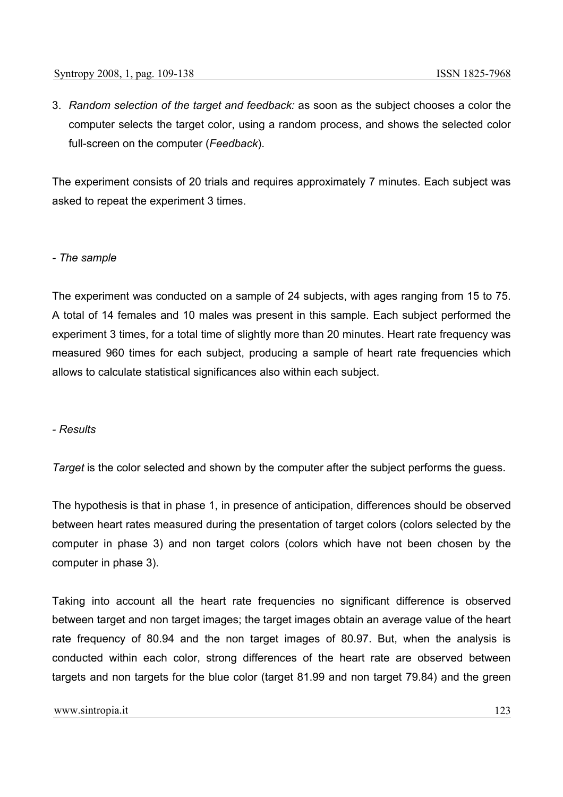3. *Random selection of the target and feedback:* as soon as the subject chooses a color the computer selects the target color, using a random process, and shows the selected color full-screen on the computer (*Feedback*).

The experiment consists of 20 trials and requires approximately 7 minutes. Each subject was asked to repeat the experiment 3 times.

#### *- The sample*

The experiment was conducted on a sample of 24 subjects, with ages ranging from 15 to 75. A total of 14 females and 10 males was present in this sample. Each subject performed the experiment 3 times, for a total time of slightly more than 20 minutes. Heart rate frequency was measured 960 times for each subject, producing a sample of heart rate frequencies which allows to calculate statistical significances also within each subject.

## *- Results*

*Target* is the color selected and shown by the computer after the subject performs the guess.

The hypothesis is that in phase 1, in presence of anticipation, differences should be observed between heart rates measured during the presentation of target colors (colors selected by the computer in phase 3) and non target colors (colors which have not been chosen by the computer in phase 3).

Taking into account all the heart rate frequencies no significant difference is observed between target and non target images; the target images obtain an average value of the heart rate frequency of 80.94 and the non target images of 80.97. But, when the analysis is conducted within each color, strong differences of the heart rate are observed between targets and non targets for the blue color (target 81.99 and non target 79.84) and the green

#### www.sintropia.it 123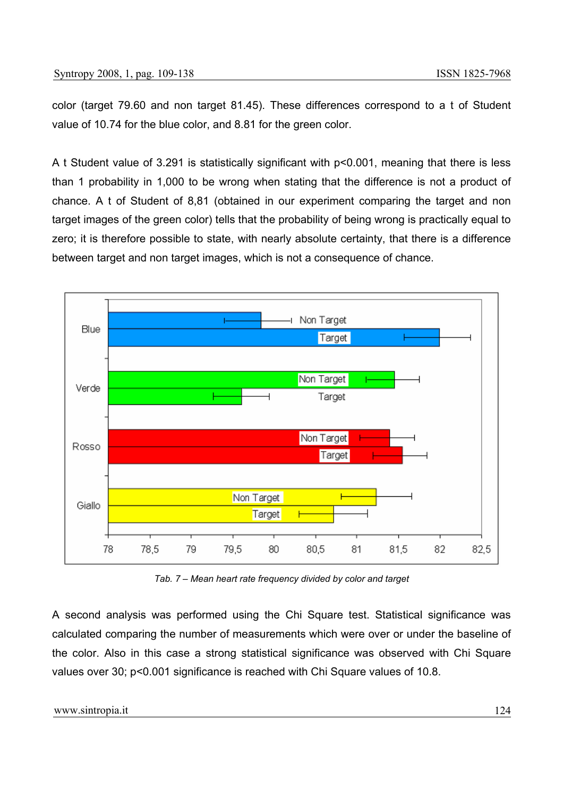color (target 79.60 and non target 81.45). These differences correspond to a t of Student value of 10.74 for the blue color, and 8.81 for the green color.

A t Student value of 3.291 is statistically significant with p<0.001, meaning that there is less than 1 probability in 1,000 to be wrong when stating that the difference is not a product of chance. A t of Student of 8,81 (obtained in our experiment comparing the target and non target images of the green color) tells that the probability of being wrong is practically equal to zero; it is therefore possible to state, with nearly absolute certainty, that there is a difference between target and non target images, which is not a consequence of chance.



*Tab. 7 – Mean heart rate frequency divided by color and target* 

A second analysis was performed using the Chi Square test. Statistical significance was calculated comparing the number of measurements which were over or under the baseline of the color. Also in this case a strong statistical significance was observed with Chi Square values over 30; p<0.001 significance is reached with Chi Square values of 10.8.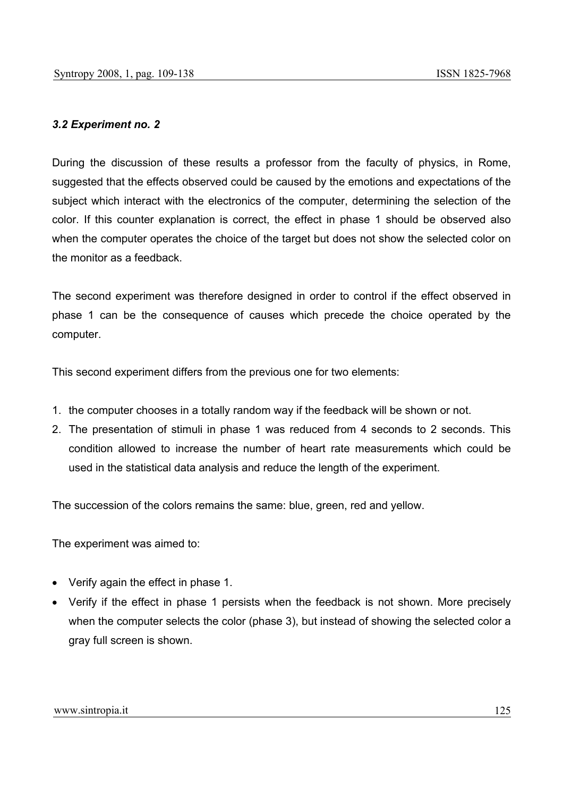# *3.2 Experiment no. 2*

During the discussion of these results a professor from the faculty of physics, in Rome, suggested that the effects observed could be caused by the emotions and expectations of the subject which interact with the electronics of the computer, determining the selection of the color. If this counter explanation is correct, the effect in phase 1 should be observed also when the computer operates the choice of the target but does not show the selected color on the monitor as a feedback.

The second experiment was therefore designed in order to control if the effect observed in phase 1 can be the consequence of causes which precede the choice operated by the computer.

This second experiment differs from the previous one for two elements:

- 1. the computer chooses in a totally random way if the feedback will be shown or not.
- 2. The presentation of stimuli in phase 1 was reduced from 4 seconds to 2 seconds. This condition allowed to increase the number of heart rate measurements which could be used in the statistical data analysis and reduce the length of the experiment.

The succession of the colors remains the same: blue, green, red and yellow.

The experiment was aimed to:

- Verify again the effect in phase 1.
- Verify if the effect in phase 1 persists when the feedback is not shown. More precisely when the computer selects the color (phase 3), but instead of showing the selected color a gray full screen is shown.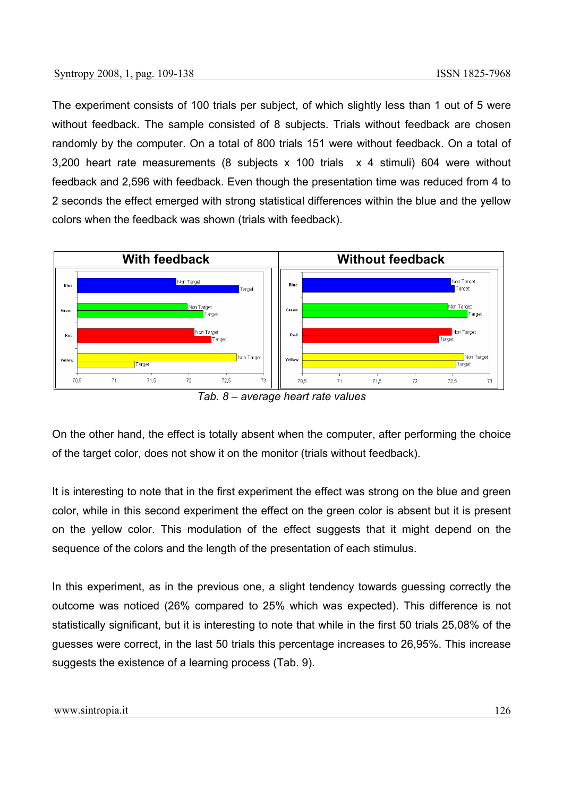The experiment consists of 100 trials per subject, of which slightly less than 1 out of 5 were without feedback. The sample consisted of 8 subjects. Trials without feedback are chosen randomly by the computer. On a total of 800 trials 151 were without feedback. On a total of 3,200 heart rate measurements (8 subjects x 100 trials x 4 stimuli) 604 were without feedback and 2,596 with feedback. Even though the presentation time was reduced from 4 to 2 seconds the effect emerged with strong statistical differences within the blue and the yellow colors when the feedback was shown (trials with feedback).



*Tab. 8 – average heart rate values* 

On the other hand, the effect is totally absent when the computer, after performing the choice of the target color, does not show it on the monitor (trials without feedback).

It is interesting to note that in the first experiment the effect was strong on the blue and green color, while in this second experiment the effect on the green color is absent but it is present on the yellow color. This modulation of the effect suggests that it might depend on the sequence of the colors and the length of the presentation of each stimulus.

In this experiment, as in the previous one, a slight tendency towards guessing correctly the outcome was noticed (26% compared to 25% which was expected). This difference is not statistically significant, but it is interesting to note that while in the first 50 trials 25,08% of the guesses were correct, in the last 50 trials this percentage increases to 26,95%. This increase suggests the existence of a learning process (Tab. 9).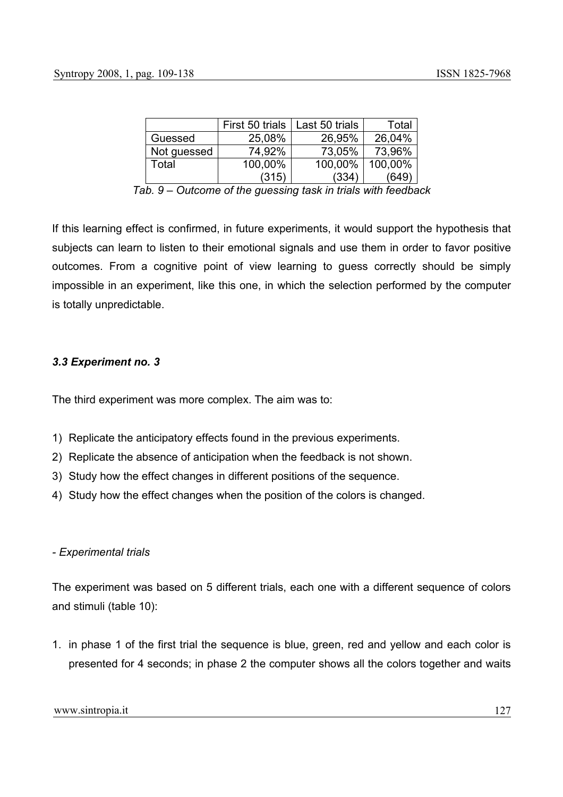|             | First 50 trials | Last 50 trials | Total   |
|-------------|-----------------|----------------|---------|
| Guessed     | 25,08%          | 26,95%         | 26,04%  |
| Not guessed | 74,92%          | 73,05%         | 73,96%  |
| Total       | 100,00%         | 100,00%        | 100,00% |
|             | (315)           | (334)          | (649)   |

*Tab. 9 – Outcome of the guessing task in trials with feedback* 

If this learning effect is confirmed, in future experiments, it would support the hypothesis that subjects can learn to listen to their emotional signals and use them in order to favor positive outcomes. From a cognitive point of view learning to guess correctly should be simply impossible in an experiment, like this one, in which the selection performed by the computer is totally unpredictable.

#### *3.3 Experiment no. 3*

The third experiment was more complex. The aim was to:

- 1) Replicate the anticipatory effects found in the previous experiments.
- 2) Replicate the absence of anticipation when the feedback is not shown.
- 3) Study how the effect changes in different positions of the sequence.
- 4) Study how the effect changes when the position of the colors is changed.

#### *- Experimental trials*

The experiment was based on 5 different trials, each one with a different sequence of colors and stimuli (table 10):

1. in phase 1 of the first trial the sequence is blue, green, red and yellow and each color is presented for 4 seconds; in phase 2 the computer shows all the colors together and waits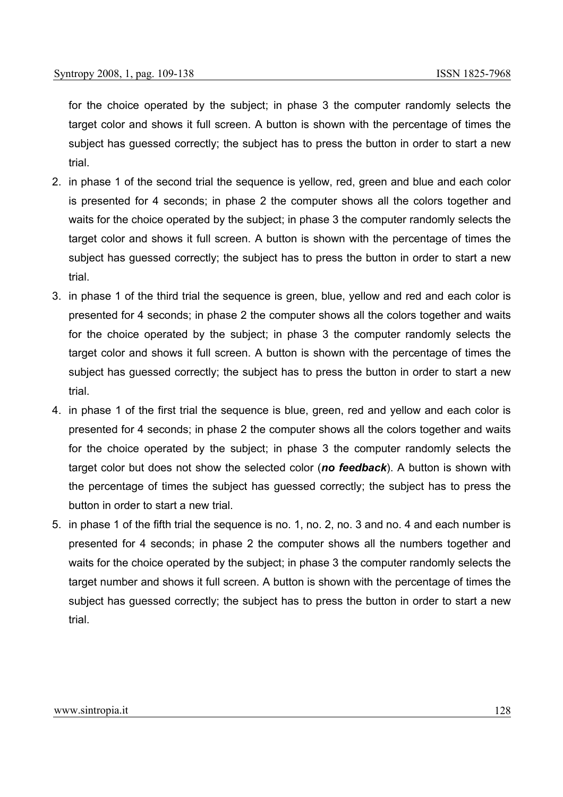for the choice operated by the subject; in phase 3 the computer randomly selects the target color and shows it full screen. A button is shown with the percentage of times the subject has guessed correctly; the subject has to press the button in order to start a new trial.

- 2. in phase 1 of the second trial the sequence is yellow, red, green and blue and each color is presented for 4 seconds; in phase 2 the computer shows all the colors together and waits for the choice operated by the subject; in phase 3 the computer randomly selects the target color and shows it full screen. A button is shown with the percentage of times the subject has guessed correctly; the subject has to press the button in order to start a new trial.
- 3. in phase 1 of the third trial the sequence is green, blue, yellow and red and each color is presented for 4 seconds; in phase 2 the computer shows all the colors together and waits for the choice operated by the subject; in phase 3 the computer randomly selects the target color and shows it full screen. A button is shown with the percentage of times the subject has guessed correctly; the subject has to press the button in order to start a new trial.
- 4. in phase 1 of the first trial the sequence is blue, green, red and yellow and each color is presented for 4 seconds; in phase 2 the computer shows all the colors together and waits for the choice operated by the subject; in phase 3 the computer randomly selects the target color but does not show the selected color (*no feedback*). A button is shown with the percentage of times the subject has guessed correctly; the subject has to press the button in order to start a new trial.
- 5. in phase 1 of the fifth trial the sequence is no. 1, no. 2, no. 3 and no. 4 and each number is presented for 4 seconds; in phase 2 the computer shows all the numbers together and waits for the choice operated by the subject; in phase 3 the computer randomly selects the target number and shows it full screen. A button is shown with the percentage of times the subject has guessed correctly; the subject has to press the button in order to start a new trial.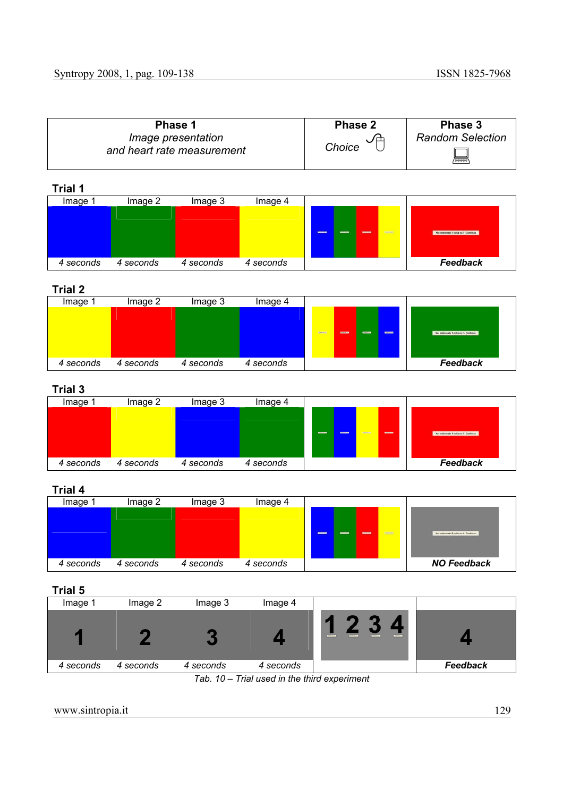| Phase 1                                          | Phase 2 | Phase 3                 |
|--------------------------------------------------|---------|-------------------------|
| Image presentation<br>and heart rate measurement | Choice  | <b>Random Selection</b> |
|                                                  |         | ▀                       |

| <b>Trial 1</b> |           |           |           |                                            |                                          |
|----------------|-----------|-----------|-----------|--------------------------------------------|------------------------------------------|
| Image 1        | Image 2   | Image 3   | Image 4   |                                            |                                          |
|                |           |           |           | $\frac{1}{2}$<br>$\equiv$<br>-<br>$\equiv$ | - Har indovinate 1 volta su 1 - Contraus |
| 4 seconds      | 4 seconds | 4 seconds | 4 seconds |                                            | Feedback                                 |
|                |           |           |           |                                            |                                          |



| Image 1   | Image 2   | Image 3   | Image 4   |                                                                       |                                         |
|-----------|-----------|-----------|-----------|-----------------------------------------------------------------------|-----------------------------------------|
|           |           |           |           |                                                                       |                                         |
|           |           |           |           | $\blacksquare$<br><b>CONTENTS</b><br><b>January</b><br><b>CONTENT</b> |                                         |
|           |           |           |           |                                                                       | Mat indicyteado 1 volta su Z - Continua |
|           |           |           |           |                                                                       |                                         |
| 4 seconds | 4 seconds | 4 seconds | 4 seconds |                                                                       | Feedback                                |

# **Trial 3**

| Image 1   | Image 2   | Image 3   | Image 4   |                                                                  |                                        |
|-----------|-----------|-----------|-----------|------------------------------------------------------------------|----------------------------------------|
|           |           |           |           |                                                                  |                                        |
|           |           |           |           | <b>STATES</b><br><b>District</b><br><b>STATE</b><br><b>COMMA</b> | Har indovinato 1 volta su 3 - Continua |
|           |           |           |           |                                                                  |                                        |
|           |           |           |           |                                                                  |                                        |
| 4 seconds | 4 seconds | 4 seconds | 4 seconds |                                                                  | Feedback                               |

## **Trial 4**

| Image     | Image 2   | Image 3   | Image 4   |                                     |                                        |
|-----------|-----------|-----------|-----------|-------------------------------------|----------------------------------------|
|           |           |           |           |                                     |                                        |
|           |           |           |           |                                     |                                        |
|           |           |           |           | $\frac{1}{2}$<br>-<br>-<br>$\equiv$ | Hai indovinato B volte au 6 - Continua |
|           |           |           |           |                                     |                                        |
|           |           |           |           |                                     |                                        |
| 4 seconds | 4 seconds | 4 seconds | 4 seconds |                                     | <b>NO Feedback</b>                     |

# **Trial 5**

| Image 1   | Image 2   | Image 3    | Image 4                           |                                                                           |                 |
|-----------|-----------|------------|-----------------------------------|---------------------------------------------------------------------------|-----------------|
|           |           |            |                                   | <b>Stationary</b><br><b>Terry L. Z.</b><br><b>Barn A.A.</b><br>Bears L.A. |                 |
| 4 seconds | 4 seconds | 4 seconds  | 4 seconds                         |                                                                           | <b>Feedback</b> |
|           |           | $T_0 h$ 10 | Trial used in the third eveniment |                                                                           |                 |

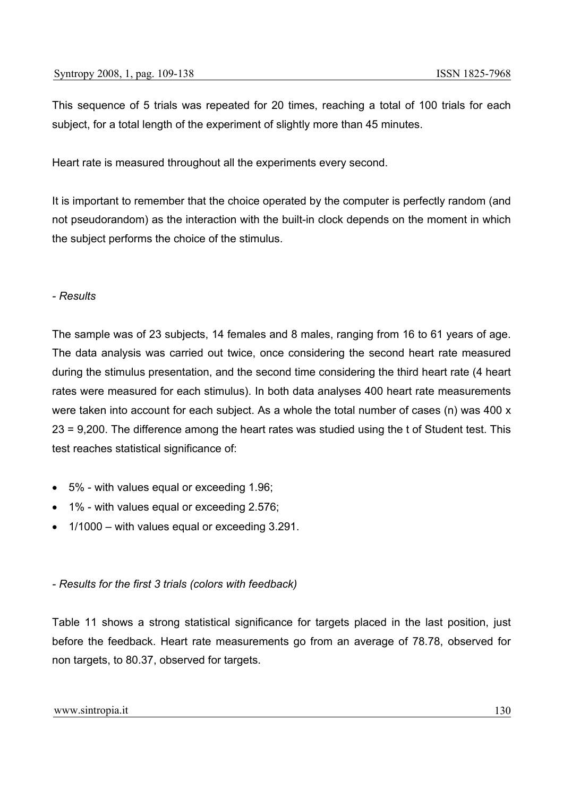This sequence of 5 trials was repeated for 20 times, reaching a total of 100 trials for each subject, for a total length of the experiment of slightly more than 45 minutes.

Heart rate is measured throughout all the experiments every second.

It is important to remember that the choice operated by the computer is perfectly random (and not pseudorandom) as the interaction with the built-in clock depends on the moment in which the subject performs the choice of the stimulus.

## *- Results*

The sample was of 23 subjects, 14 females and 8 males, ranging from 16 to 61 years of age. The data analysis was carried out twice, once considering the second heart rate measured during the stimulus presentation, and the second time considering the third heart rate (4 heart rates were measured for each stimulus). In both data analyses 400 heart rate measurements were taken into account for each subject. As a whole the total number of cases (n) was 400 x 23 = 9,200. The difference among the heart rates was studied using the t of Student test. This test reaches statistical significance of:

- 5% with values equal or exceeding 1.96;
- 1% with values equal or exceeding 2.576;
- 1/1000 with values equal or exceeding 3.291.

## *- Results for the first 3 trials (colors with feedback)*

Table 11 shows a strong statistical significance for targets placed in the last position, just before the feedback. Heart rate measurements go from an average of 78.78, observed for non targets, to 80.37, observed for targets.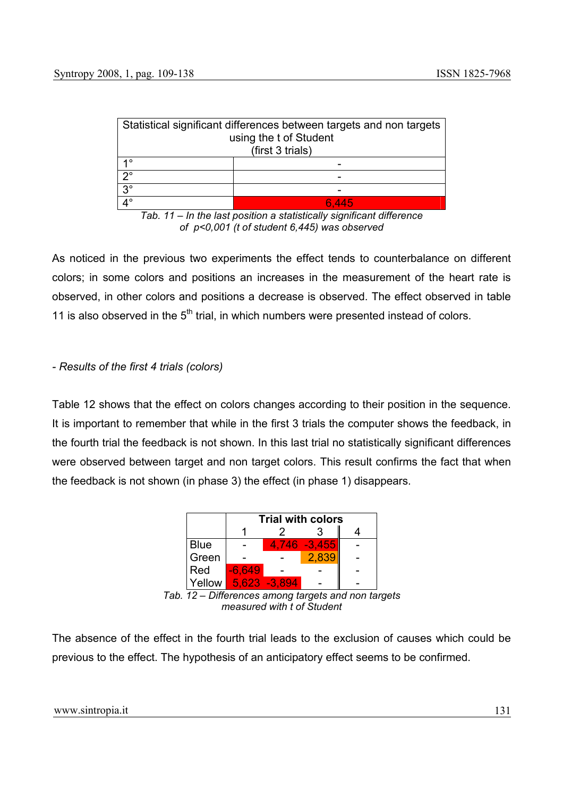|                                                              | Statistical significant differences between targets and non targets |  |  |  |  |
|--------------------------------------------------------------|---------------------------------------------------------------------|--|--|--|--|
| using the t of Student                                       |                                                                     |  |  |  |  |
| (first 3 trials)                                             |                                                                     |  |  |  |  |
| 4 O                                                          |                                                                     |  |  |  |  |
| no                                                           |                                                                     |  |  |  |  |
| $\overline{3}$ <sup>o</sup>                                  |                                                                     |  |  |  |  |
| $\mathbf{\Lambda}^{\circ}$<br>6.445                          |                                                                     |  |  |  |  |
| la tha last nasilism a statistically sixuifisent differences |                                                                     |  |  |  |  |

*Tab. 11 – In the last position a statistically significant difference of p<0,001 (t of student 6,445) was observed*

As noticed in the previous two experiments the effect tends to counterbalance on different colors; in some colors and positions an increases in the measurement of the heart rate is observed, in other colors and positions a decrease is observed. The effect observed in table 11 is also observed in the  $5<sup>th</sup>$  trial, in which numbers were presented instead of colors.

## *- Results of the first 4 trials (colors)*

Table 12 shows that the effect on colors changes according to their position in the sequence. It is important to remember that while in the first 3 trials the computer shows the feedback, in the fourth trial the feedback is not shown. In this last trial no statistically significant differences were observed between target and non target colors. This result confirms the fact that when the feedback is not shown (in phase 3) the effect (in phase 1) disappears.



*measured with t of Student*

The absence of the effect in the fourth trial leads to the exclusion of causes which could be previous to the effect. The hypothesis of an anticipatory effect seems to be confirmed.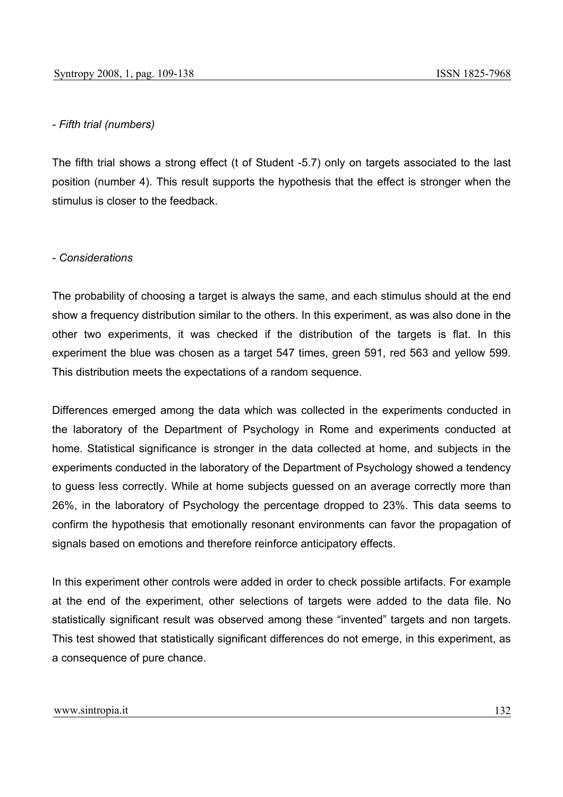#### *- Fifth trial (numbers)*

The fifth trial shows a strong effect (t of Student -5.7) only on targets associated to the last position (number 4). This result supports the hypothesis that the effect is stronger when the stimulus is closer to the feedback.

#### *- Considerations*

The probability of choosing a target is always the same, and each stimulus should at the end show a frequency distribution similar to the others. In this experiment, as was also done in the other two experiments, it was checked if the distribution of the targets is flat. In this experiment the blue was chosen as a target 547 times, green 591, red 563 and yellow 599. This distribution meets the expectations of a random sequence.

Differences emerged among the data which was collected in the experiments conducted in the laboratory of the Department of Psychology in Rome and experiments conducted at home. Statistical significance is stronger in the data collected at home, and subjects in the experiments conducted in the laboratory of the Department of Psychology showed a tendency to guess less correctly. While at home subjects guessed on an average correctly more than 26%, in the laboratory of Psychology the percentage dropped to 23%. This data seems to confirm the hypothesis that emotionally resonant environments can favor the propagation of signals based on emotions and therefore reinforce anticipatory effects.

In this experiment other controls were added in order to check possible artifacts. For example at the end of the experiment, other selections of targets were added to the data file. No statistically significant result was observed among these "invented" targets and non targets. This test showed that statistically significant differences do not emerge, in this experiment, as a consequence of pure chance.

#### www.sintropia.it 132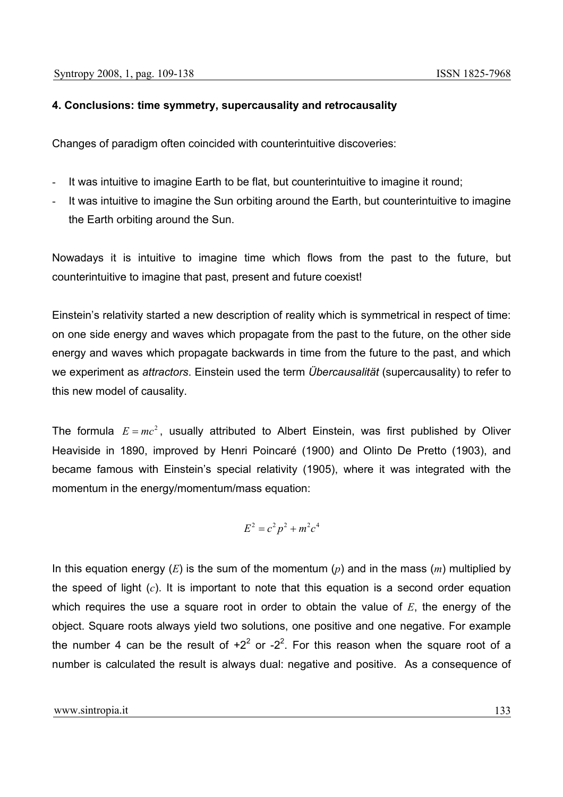## **4. Conclusions: time symmetry, supercausality and retrocausality**

Changes of paradigm often coincided with counterintuitive discoveries:

- It was intuitive to imagine Earth to be flat, but counterintuitive to imagine it round;
- It was intuitive to imagine the Sun orbiting around the Earth, but counterintuitive to imagine the Earth orbiting around the Sun.

Nowadays it is intuitive to imagine time which flows from the past to the future, but counterintuitive to imagine that past, present and future coexist!

Einstein's relativity started a new description of reality which is symmetrical in respect of time: on one side energy and waves which propagate from the past to the future, on the other side energy and waves which propagate backwards in time from the future to the past, and which we experiment as *attractors*. Einstein used the term *Übercausalität* (supercausality) to refer to this new model of causality.

The formula  $E = mc^2$ , usually attributed to Albert Einstein, was first published by Oliver Heaviside in 1890, improved by Henri Poincaré (1900) and Olinto De Pretto (1903), and became famous with Einstein's special relativity (1905), where it was integrated with the momentum in the energy/momentum/mass equation:

$$
E^2 = c^2 p^2 + m^2 c^4
$$

In this equation energy (*E*) is the sum of the momentum (*p*) and in the mass (*m*) multiplied by the speed of light (*c*). It is important to note that this equation is a second order equation which requires the use a square root in order to obtain the value of *E*, the energy of the object. Square roots always yield two solutions, one positive and one negative. For example the number 4 can be the result of  $+2^2$  or  $-2^2$ . For this reason when the square root of a number is calculated the result is always dual: negative and positive. As a consequence of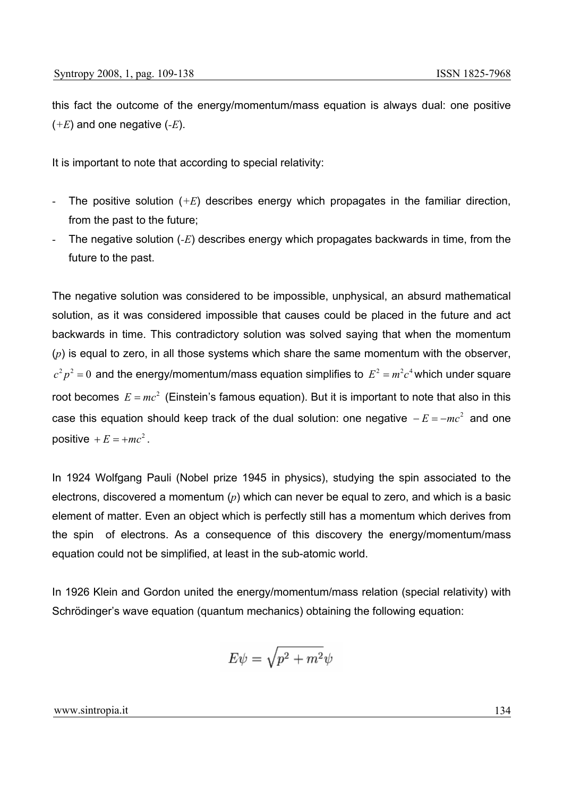this fact the outcome of the energy/momentum/mass equation is always dual: one positive (*+E*) and one negative (*-E*).

It is important to note that according to special relativity:

- The positive solution  $(+E)$  describes energy which propagates in the familiar direction, from the past to the future;
- The negative solution (*-E*) describes energy which propagates backwards in time, from the future to the past.

The negative solution was considered to be impossible, unphysical, an absurd mathematical solution, as it was considered impossible that causes could be placed in the future and act backwards in time. This contradictory solution was solved saying that when the momentum (*p*) is equal to zero, in all those systems which share the same momentum with the observer,  $c^2 p^2 = 0$  and the energy/momentum/mass equation simplifies to  $E^2 = m^2 c^4$  which under square root becomes  $E = mc^2$  (Einstein's famous equation). But it is important to note that also in this case this equation should keep track of the dual solution: one negative  $-E = -mc^2$  and one positive  $+E = +mc^2$ .

In 1924 Wolfgang Pauli (Nobel prize 1945 in physics), studying the spin associated to the electrons, discovered a momentum (*p*) which can never be equal to zero, and which is a basic element of matter. Even an object which is perfectly still has a momentum which derives from the spin of electrons. As a consequence of this discovery the energy/momentum/mass equation could not be simplified, at least in the sub-atomic world.

In 1926 Klein and Gordon united the energy/momentum/mass relation (special relativity) with Schrödinger's wave equation (quantum mechanics) obtaining the following equation:

$$
E\psi=\sqrt{p^2+m^2}\psi
$$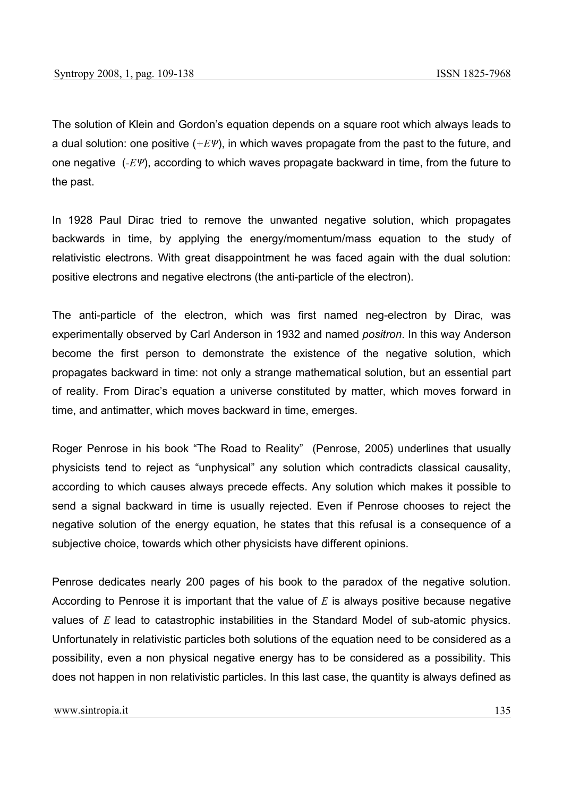The solution of Klein and Gordon's equation depends on a square root which always leads to a dual solution: one positive (*+EΨ*), in which waves propagate from the past to the future, and one negative (*-EΨ*), according to which waves propagate backward in time, from the future to the past.

In 1928 Paul Dirac tried to remove the unwanted negative solution, which propagates backwards in time, by applying the energy/momentum/mass equation to the study of relativistic electrons. With great disappointment he was faced again with the dual solution: positive electrons and negative electrons (the anti-particle of the electron).

The anti-particle of the electron, which was first named neg-electron by Dirac, was experimentally observed by Carl Anderson in 1932 and named *positron*. In this way Anderson become the first person to demonstrate the existence of the negative solution, which propagates backward in time: not only a strange mathematical solution, but an essential part of reality. From Dirac's equation a universe constituted by matter, which moves forward in time, and antimatter, which moves backward in time, emerges.

Roger Penrose in his book "The Road to Reality" (Penrose, 2005) underlines that usually physicists tend to reject as "unphysical" any solution which contradicts classical causality, according to which causes always precede effects. Any solution which makes it possible to send a signal backward in time is usually rejected. Even if Penrose chooses to reject the negative solution of the energy equation, he states that this refusal is a consequence of a subjective choice, towards which other physicists have different opinions.

Penrose dedicates nearly 200 pages of his book to the paradox of the negative solution. According to Penrose it is important that the value of *E* is always positive because negative values of *E* lead to catastrophic instabilities in the Standard Model of sub-atomic physics. Unfortunately in relativistic particles both solutions of the equation need to be considered as a possibility, even a non physical negative energy has to be considered as a possibility. This does not happen in non relativistic particles. In this last case, the quantity is always defined as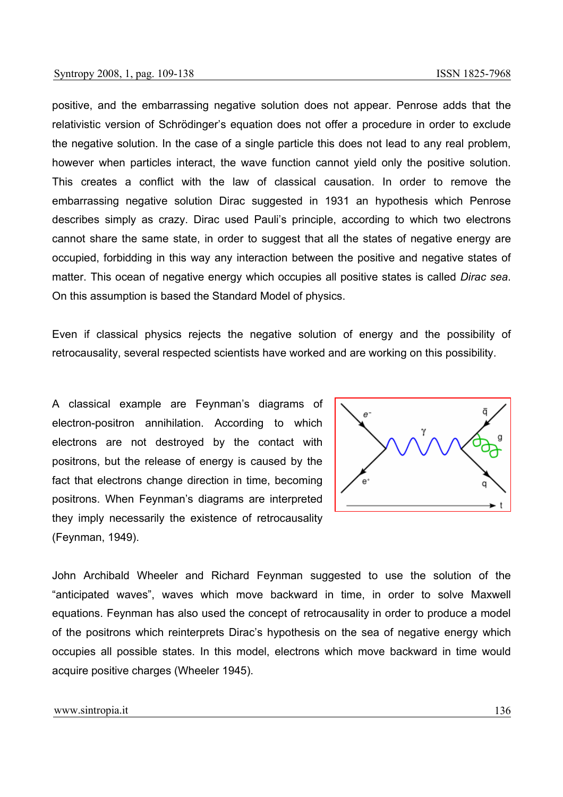positive, and the embarrassing negative solution does not appear. Penrose adds that the relativistic version of Schrödinger's equation does not offer a procedure in order to exclude the negative solution. In the case of a single particle this does not lead to any real problem, however when particles interact, the wave function cannot yield only the positive solution. This creates a conflict with the law of classical causation. In order to remove the embarrassing negative solution Dirac suggested in 1931 an hypothesis which Penrose describes simply as crazy. Dirac used Pauli's principle, according to which two electrons cannot share the same state, in order to suggest that all the states of negative energy are occupied, forbidding in this way any interaction between the positive and negative states of matter. This ocean of negative energy which occupies all positive states is called *Dirac sea*. On this assumption is based the Standard Model of physics.

Even if classical physics rejects the negative solution of energy and the possibility of retrocausality, several respected scientists have worked and are working on this possibility.

A classical example are Feynman's diagrams of electron-positron annihilation. According to which electrons are not destroyed by the contact with positrons, but the release of energy is caused by the fact that electrons change direction in time, becoming positrons. When Feynman's diagrams are interpreted they imply necessarily the existence of retrocausality (Feynman, 1949).



John Archibald Wheeler and Richard Feynman suggested to use the solution of the "anticipated waves", waves which move backward in time, in order to solve Maxwell equations. Feynman has also used the concept of retrocausality in order to produce a model of the positrons which reinterprets Dirac's hypothesis on the sea of negative energy which occupies all possible states. In this model, electrons which move backward in time would acquire positive charges (Wheeler 1945).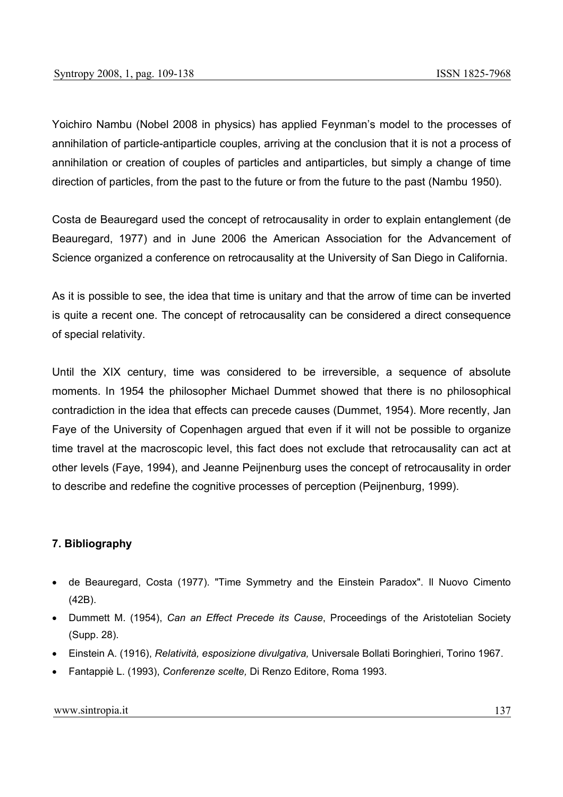Yoichiro Nambu (Nobel 2008 in physics) has applied Feynman's model to the processes of annihilation of particle-antiparticle couples, arriving at the conclusion that it is not a process of annihilation or creation of couples of particles and antiparticles, but simply a change of time direction of particles, from the past to the future or from the future to the past (Nambu 1950).

Costa de Beauregard used the concept of retrocausality in order to explain entanglement (de Beauregard, 1977) and in June 2006 the American Association for the Advancement of Science organized a conference on retrocausality at the University of San Diego in California.

As it is possible to see, the idea that time is unitary and that the arrow of time can be inverted is quite a recent one. The concept of retrocausality can be considered a direct consequence of special relativity.

Until the XIX century, time was considered to be irreversible, a sequence of absolute moments. In 1954 the philosopher Michael Dummet showed that there is no philosophical contradiction in the idea that effects can precede causes (Dummet, 1954). More recently, Jan Faye of the University of Copenhagen argued that even if it will not be possible to organize time travel at the macroscopic level, this fact does not exclude that retrocausality can act at other levels (Faye, 1994), and Jeanne Peijnenburg uses the concept of retrocausality in order to describe and redefine the cognitive processes of perception (Peijnenburg, 1999).

# **7. Bibliography**

- de Beauregard, Costa (1977). "Time Symmetry and the Einstein Paradox". Il Nuovo Cimento (42B).
- Dummett M. (1954), *Can an Effect Precede its Cause*, Proceedings of the Aristotelian Society (Supp. 28).
- Einstein A. (1916), *Relatività, esposizione divulgativa,* Universale Bollati Boringhieri, Torino 1967.
- Fantappiè L. (1993), *Conferenze scelte,* Di Renzo Editore, Roma 1993.

#### www.sintropia.it 137